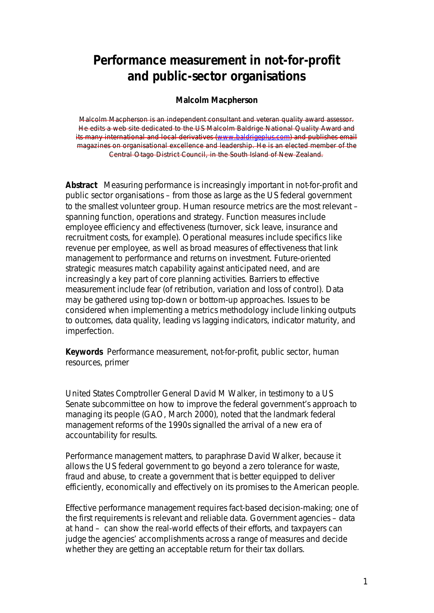# **Performance measurement in not-for-profit and public-sector organisations**

#### **Malcolm Macpherson**

Malcolm Macpherson is an independent consultant and veteran quality award assessor. He edits a web site dedicated to the US Malcolm Baldrige National Quality Award and its many international and local derivatives (www.baldrigeplus.com) and publishes email magazines on organisational excellence and leadership. He is an elected member of the Central Otago District Council, in the South Island of New Zealand.

*Abstract Measuring performance is increasingly important in not-for-profit and public sector organisations – from those as large as the US federal government to the smallest volunteer group. Human resource metrics are the most relevant – spanning function, operations and strategy. Function measures include employee efficiency and effectiveness (turnover, sick leave, insurance and recruitment costs, for example). Operational measures include specifics like revenue per employee, as well as broad measures of effectiveness that link management to performance and returns on investment. Future-oriented strategic measures match capability against anticipated need, and are increasingly a key part of core planning activities. Barriers to effective measurement include fear (of retribution, variation and loss of control). Data may be gathered using top-down or bottom-up approaches. Issues to be considered when implementing a metrics methodology include linking outputs to outcomes, data quality, leading vs lagging indicators, indicator maturity, and imperfection.* 

*Keywords Performance measurement, not-for-profit, public sector, human resources, primer*

United States Comptroller General David M Walker, in testimony to a US Senate subcommittee on how to improve the federal government's approach to managing its people (GAO, March 2000), noted that the landmark federal management reforms of the 1990s signalled the arrival of a new era of accountability for results.

Performance management matters, to paraphrase David Walker, because it allows the US federal government to go beyond a zero tolerance for waste, fraud and abuse, to create a government that is better equipped to deliver efficiently, economically and effectively on its promises to the American people.

Effective performance management requires fact-based decision-making; one of the first requirements is relevant and reliable data. Government agencies – data at hand – can show the real-world effects of their efforts, and taxpayers can judge the agencies' accomplishments across a range of measures and decide whether they are getting an acceptable return for their tax dollars.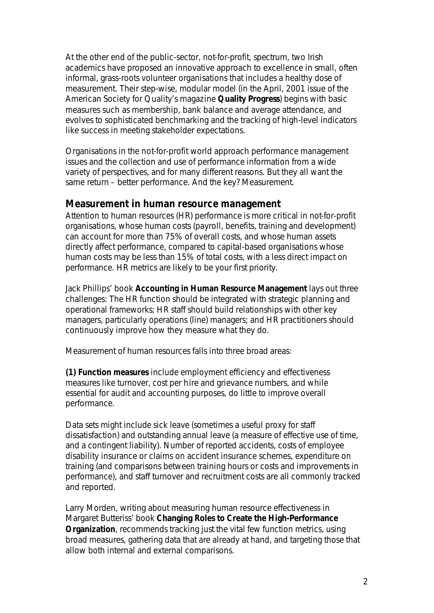At the other end of the public-sector, not-for-profit, spectrum, two Irish academics have proposed an innovative approach to excellence in small, often informal, grass-roots volunteer organisations that includes a healthy dose of measurement. Their step-wise, modular model (in the April, 2001 issue of the American Society for Quality's magazine **Quality Progress**) begins with basic measures such as membership, bank balance and average attendance, and evolves to sophisticated benchmarking and the tracking of high-level indicators like success in meeting stakeholder expectations.

Organisations in the not-for-profit world approach performance management issues and the collection and use of performance information from a wide variety of perspectives, and for many different reasons. But they all want the same return – better performance. And the key? Measurement.

### **Measurement in human resource management**

Attention to human resources (HR) performance is more critical in not-for-profit organisations, whose human costs (payroll, benefits, training and development) can account for more than 75% of overall costs, and whose human assets directly affect performance, compared to capital-based organisations whose human costs may be less than 15% of total costs, with a less direct impact on performance. HR metrics are likely to be your first priority.

Jack Phillips' book *Accounting in Human Resource Management* lays out three challenges: The HR function should be integrated with strategic planning and operational frameworks; HR staff should build relationships with other key managers, particularly operations (line) managers; and HR practitioners should continuously improve how they measure what they do.

Measurement of human resources falls into three broad areas:

**(1) Function measures** include employment efficiency and effectiveness measures like turnover, cost per hire and grievance numbers, and while essential for audit and accounting purposes, do little to improve overall performance.

Data sets might include sick leave (sometimes a useful proxy for staff dissatisfaction) and outstanding annual leave (a measure of effective use of time, and a contingent liability). Number of reported accidents, costs of employee disability insurance or claims on accident insurance schemes, expenditure on training (and comparisons between training hours or costs and improvements in performance), and staff turnover and recruitment costs are all commonly tracked and reported.

Larry Morden, writing about measuring human resource effectiveness in Margaret Butteriss' book *Changing Roles to Create the High-Performance Organization*, recommends tracking just the *vital few* function metrics, using broad measures, gathering data that are already at hand, and targeting those that allow both internal and external comparisons.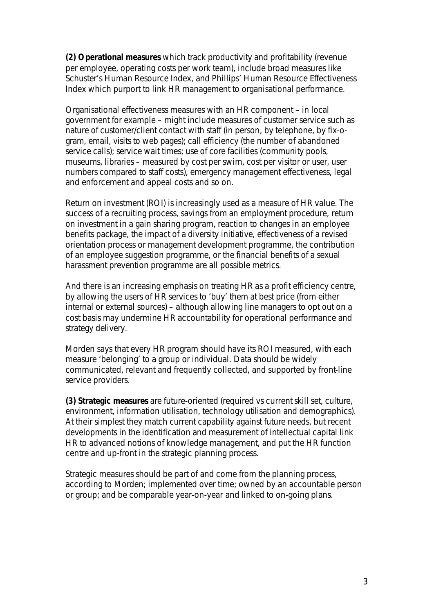**(2) Operational measures** which track productivity and profitability (revenue per employee, operating costs per work team), include broad measures like Schuster's Human Resource Index, and Phillips' Human Resource Effectiveness Index which purport to link HR management to organisational performance.

Organisational effectiveness measures with an HR component – in local government for example – might include measures of customer service such as nature of customer/client contact with staff (in person, by telephone, by fix-ogram, email, visits to web pages); call efficiency (the number of abandoned service calls); service wait times; use of core facilities (community pools, museums, libraries – measured by cost per swim, cost per visitor or user, user numbers compared to staff costs), emergency management effectiveness, legal and enforcement and appeal costs and so on.

Return on investment (ROI) is increasingly used as a measure of HR value. The success of a recruiting process, savings from an employment procedure, return on investment in a gain sharing program, reaction to changes in an employee benefits package, the impact of a diversity initiative, effectiveness of a revised orientation process or management development programme, the contribution of an employee suggestion programme, or the financial benefits of a sexual harassment prevention programme are all possible metrics.

And there is an increasing emphasis on treating HR as a profit efficiency centre, by allowing the users of HR services to 'buy' them at best price (from either internal or external sources) – although allowing line managers to opt out on a cost basis may undermine HR accountability for operational performance and strategy delivery.

Morden says that every HR program should have its ROI measured, with each measure 'belonging' to a group or individual. Data should be widely communicated, relevant and frequently collected, and supported by front-line service providers.

**(3) Strategic measures** are future-oriented (*required* vs *current* skill set, culture, environment, information utilisation, technology utilisation and demographics). At their simplest they match current capability against future needs, but recent developments in the identification and measurement of intellectual capital link HR to advanced notions of knowledge management, and put the HR function centre and up-front in the strategic planning process.

Strategic measures should be part of and come from the planning process, according to Morden; implemented over time; owned by an accountable person or group; and be comparable year-on-year and linked to on-going plans.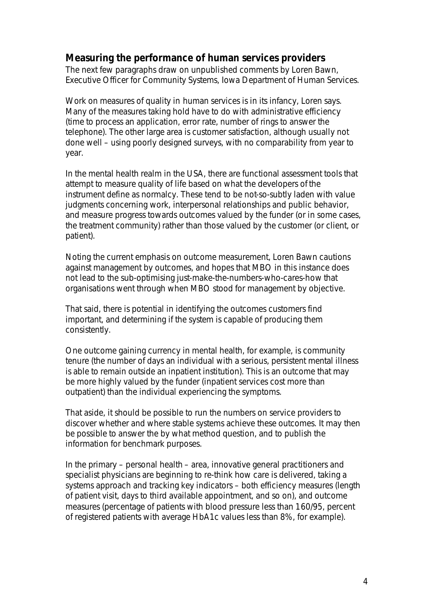## **Measuring the performance of human services providers**

The next few paragraphs draw on unpublished comments by Loren Bawn, Executive Officer for Community Systems, Iowa Department of Human Services.

Work on measures of quality in human services is in its infancy, Loren says. Many of the measures taking hold have to do with administrative efficiency (time to process an application, error rate, number of rings to answer the telephone). The other large area is customer satisfaction, although usually not done well – using poorly designed surveys, with no comparability from year to year.

In the mental health realm in the USA, there are functional assessment tools that attempt to measure quality of life based on what the developers of the instrument define as normalcy. These tend to be not-so-subtly laden with value judgments concerning work, interpersonal relationships and public behavior, and measure progress towards outcomes valued by the funder (or in some cases, the treatment community) rather than those valued by the customer (or client, or patient).

Noting the current emphasis on outcome measurement, Loren Bawn cautions against *management by outcomes*, and hopes that MBO in this instance does not lead to the sub-optimising *just-make-the-numbers-who-cares-how* that organisations went through when MBO stood for *management by objective*.

That said, there is potential in identifying the outcomes customers find important, and determining if the system is capable of producing them consistently.

One outcome gaining currency in mental health, for example, is *community tenure* (the number of days an individual with a serious, persistent mental illness is able to remain outside an inpatient institution). This is an outcome that may be more highly valued by the funder (inpatient services cost more than outpatient) than the individual experiencing the symptoms.

That aside, it should be possible to run the numbers on service providers to discover whether and where stable systems achieve these outcomes. It may then be possible to answer the *by what method* question, and to publish the information for benchmark purposes.

In the primary – personal health – area, innovative general practitioners and specialist physicians are beginning to re-think how care is delivered, taking a systems approach and tracking key indicators – both efficiency measures (length of patient visit, days to third available appointment, and so on), and outcome measures (percentage of patients with blood pressure less than 160/95, percent of registered patients with average HbA1c values less than 8%, for example).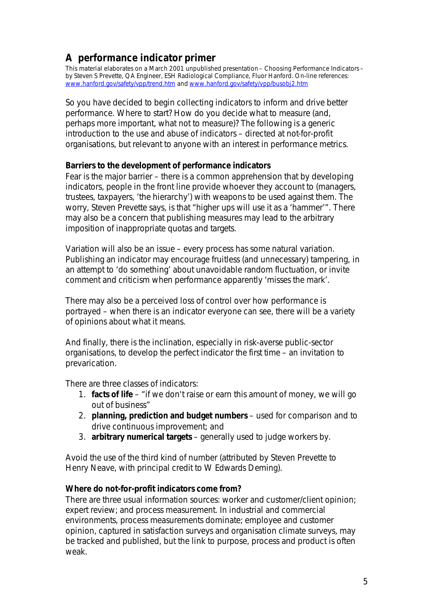## **A performance indicator primer**

This material elaborates on a March 2001 unpublished presentation – Choosing Performance Indicators – by Steven S Prevette, QA Engineer, ESH Radiological Compliance, Fluor Hanford. On-line references: www.hanford.gov/safety/vpp/trend.htm and www.hanford.gov/safety/vpp/busobj2.htm

So you have decided to begin collecting indicators to inform and drive better performance. Where to start? How do you decide what to measure (and, perhaps more important, what not to measure)? The following is a generic introduction to the use and abuse of indicators – directed at not-for-profit organisations, but relevant to anyone with an interest in performance metrics.

#### **Barriers to the development of performance indicators**

Fear is the major barrier – there is a common apprehension that by developing indicators, people in the front line provide whoever they account to (managers, trustees, taxpayers, 'the hierarchy') with weapons to be used against them. The worry, Steven Prevette says, is that "higher ups will use it as a 'hammer'". There may also be a concern that publishing measures may lead to the arbitrary imposition of inappropriate quotas and targets.

Variation will also be an issue – every process has some natural variation. Publishing an indicator may encourage fruitless (and unnecessary) tampering, in an attempt to 'do something' about unavoidable random fluctuation, or invite comment and criticism when performance apparently 'misses the mark'.

There may also be a perceived loss of control over how performance is portrayed – when there is an indicator everyone can see, there will be a variety of opinions about what it means.

And finally, there is the inclination, especially in risk-averse public-sector organisations, to develop the *perfect* indicator the first time – an invitation to prevarication.

There are three classes of indicators:

- 1. **facts of life** "if we don't raise or earn this amount of money, we will go out of business"
- 2. **planning, prediction and budget numbers** used for comparison and to drive continuous improvement; and
- 3. **arbitrary numerical targets** generally used to judge workers by.

*Avoid the use of the third kind of number* (attributed by Steven Prevette to Henry Neave, with principal credit to W Edwards Deming).

#### **Where do not-for-profit indicators come from?**

There are three usual information sources: worker and customer/client opinion; expert review; and process measurement. In industrial and commercial environments, process measurements dominate; employee and customer opinion, captured in satisfaction surveys and organisation climate surveys, may be tracked and published, but the link to purpose, process and product is often weak.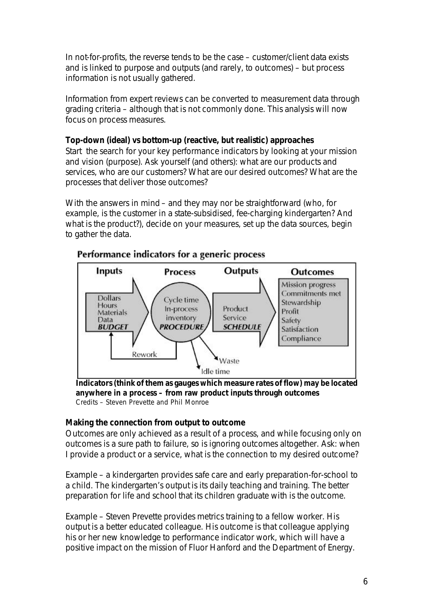In not-for-profits, the reverse tends to be the case – customer/client data exists and is linked to purpose and outputs (and rarely, to outcomes) – but process information is not usually gathered.

Information from expert reviews can be converted to measurement data through grading criteria – although that is not commonly done. This analysis will now focus on process measures.

## **Top-down (ideal) vs bottom-up (reactive, but realistic) approaches**

Start the search for your key performance indicators by looking at your mission and vision (purpose). Ask yourself (and others): what are our products and services, who are our customers? What are our desired outcomes? What are the processes that deliver those outcomes?

With the answers in mind – and they may nor be straightforward (who, for example, is the customer in a state-subsidised, fee-charging kindergarten? And what is the product?), decide on your measures, set up the data sources, begin to gather the data.



## Performance indicators for a generic process

**Indicators (think of them as gauges which measure rates of flow) may be located anywhere in a process – from raw product inputs through outcomes** *Credits – Steven Prevette and Phil Monroe*

### **Making the connection from output to outcome**

Outcomes are only achieved as a result of a process, and while focusing only on outcomes is a sure path to failure, so is ignoring outcomes altogether. Ask: when I provide a product or a service, what is the connection to my desired outcome?

Example – a kindergarten provides safe care and early preparation-for-school to a child. The kindergarten's *output* is its daily teaching and training. The *better preparation for life and school* that its children graduate with is the *outcome*.

Example – Steven Prevette provides metrics training to a fellow worker. His *output* is a better educated colleague. His *outcome* is that colleague applying his or her new knowledge to performance indicator work, which will have a positive impact on the mission of Fluor Hanford and the Department of Energy.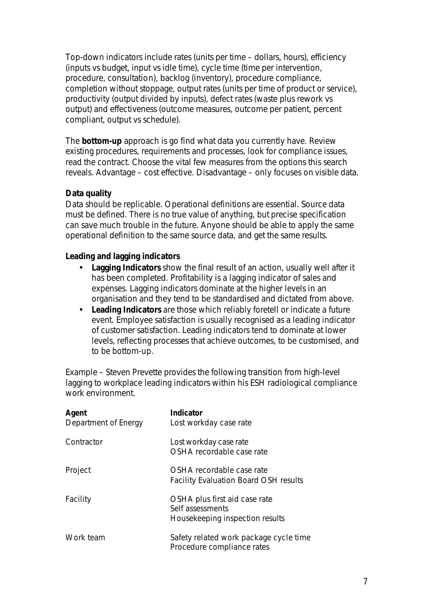Top-down indicators include rates (units per time – dollars, hours), efficiency (inputs vs budget, input vs idle time), cycle time (time per intervention, procedure, consultation), backlog (inventory), procedure compliance, completion without stoppage, output rates (units per time of product or service), productivity (output divided by inputs), defect rates (waste plus rework vs output) and effectiveness (outcome measures, outcome per patient, percent compliant, output vs schedule).

The **bottom-up** approach is *go find what data you currently have*. Review existing procedures, requirements and processes, look for compliance issues, read the contract. Choose the vital few measures from the options this search reveals. Advantage – cost effective. Disadvantage – only focuses on *visible* data.

### **Data quality**

Data should be replicable. Operational definitions are essential. Source data must be defined. There is no *true value* of anything, but precise specification can save much trouble in the future. Anyone should be able to apply the same operational definition to the same source data, and get the same results.

#### **Leading and lagging indicators**

- **Lagging Indicators** show the final result of an action, usually well after it has been completed. Profitability is a lagging indicator of sales and expenses. Lagging indicators dominate at the higher levels in an organisation and they tend to be standardised and dictated from above.
- **Leading Indicators** are those which reliably foretell or indicate a future event. Employee satisfaction is usually recognised as a leading indicator of customer satisfaction. Leading indicators tend to dominate at lower levels, reflecting processes that achieve outcomes, to be customised, and to be bottom-up.

Example – Steven Prevette provides the following transition from high-level lagging to workplace leading indicators within his ESH radiological compliance work environment.

| Agent<br>Department of Energy | <b>Indicator</b><br>Lost workday case rate                                           |
|-------------------------------|--------------------------------------------------------------------------------------|
| Contractor                    | Lost workday case rate<br>OSHA recordable case rate                                  |
| Project                       | OSHA recordable case rate<br><b>Facility Evaluation Board OSH results</b>            |
| Facility                      | OSHA plus first aid case rate<br>Self assessments<br>Housekeeping inspection results |
| Work team                     | Safety related work package cycle time<br>Procedure compliance rates                 |